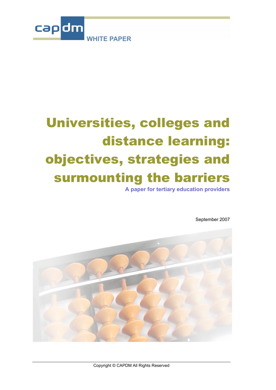

# Universities, colleges and distance learning: objectives, strategies and surmounting the barriers

**A paper for tertiary education providers** 

September 2007

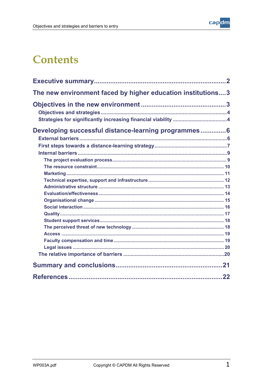

# **Contents**

| The new environment faced by higher education institutions3 |
|-------------------------------------------------------------|
|                                                             |
|                                                             |
|                                                             |
| Developing successful distance-learning programmes 6        |
|                                                             |
|                                                             |
|                                                             |
|                                                             |
|                                                             |
|                                                             |
|                                                             |
|                                                             |
|                                                             |
|                                                             |
|                                                             |
|                                                             |
|                                                             |
|                                                             |
|                                                             |
|                                                             |
|                                                             |
|                                                             |
|                                                             |
| 22                                                          |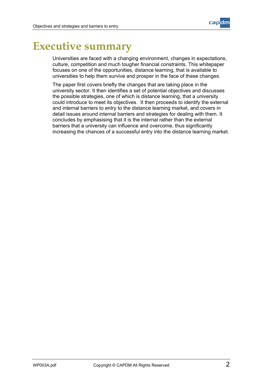

# <span id="page-2-0"></span>**Executive summary**

Universities are faced with a changing environment, changes in expectations, culture, competition and much tougher financial constraints. This whitepaper focuses on one of the opportunities, distance learning, that is available to universities to help them survive and prosper in the face of these changes.

The paper first covers briefly the changes that are taking place in the university sector. It then identifies a set of potential objectives and discusses the possible strategies, one of which is distance learning, that a university could introduce to meet its objectives. It then proceeds to identify the external and internal barriers to entry to the distance learning market, and covers in detail issues around internal barriers and strategies for dealing with them. It concludes by emphasising that it is the internal rather than the external barriers that a university can influence and overcome, thus significantly increasing the chances of a successful entry into the distance learning market.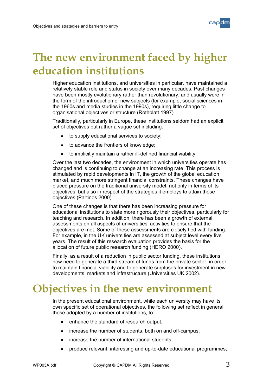# <span id="page-3-0"></span>**The new environment faced by higher education institutions**

Higher education institutions, and universities in particular, have maintained a relatively stable role and status in society over many decades. Past changes have been mostly evolutionary rather than revolutionary, and usually were in the form of the introduction of new subjects (for example, social sciences in the 1960s and media studies in the 1990s), requiring little change to organisational objectives or structure (Rothblatt 1997).

Traditionally, particularly in Europe, these institutions seldom had an explicit set of objectives but rather a vague set including:

- to supply educational services to society;
- to advance the frontiers of knowledge;
- to implicitly maintain a rather ill-defined financial viability.

Over the last two decades, the environment in which universities operate has changed and is continuing to change at an increasing rate. This process is stimulated by rapid developments in IT, the growth of the global education market, and much more stringent financial constraints. These changes have placed pressure on the traditional university model, not only in terms of its objectives, but also in respect of the strategies it employs to attain those objectives (Partinos 2000).

One of these changes is that there has been increasing pressure for educational institutions to state more rigorously their objectives, particularly for teaching and research. In addition, there has been a growth of external assessments on all aspects of universities' activities to ensure that the objectives are met. Some of these assessments are closely tied with funding. For example, in the UK universities are assessed at subject level every five years. The result of this research evaluation provides the basis for the allocation of future public research funding (HERO 2000).

Finally, as a result of a reduction in public sector funding, these institutions now need to generate a third stream of funds from the private sector, in order to maintain financial viability and to generate surpluses for investment in new developments, markets and infrastructure (Universities UK 2002).

# **Objectives in the new environment**

In the present educational environment, while each university may have its own specific set of operational objectives, the following set reflect in general those adopted by a number of institutions, to:

- enhance the standard of research output;
- increase the number of students, both on and off-campus;
- increase the number of international students;
- produce relevant, interesting and up-to-date educational programmes;

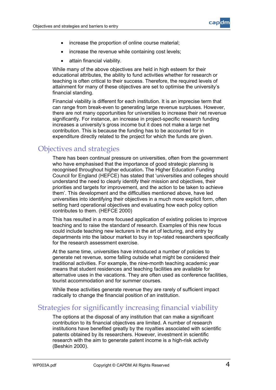

- <span id="page-4-0"></span>• increase the proportion of online course material;
- increase the revenue while containing cost levels;
- attain financial viability.

While many of the above objectives are held in high esteem for their educational attributes, the ability to fund activities whether for research or teaching is often critical to their success. Therefore, the required levels of attainment for many of these objectives are set to optimise the university's financial standing.

Financial viability is different for each institution. It is an imprecise term that can range from break-even to generating large revenue surpluses. However, there are not many opportunities for universities to increase their net revenue significantly. For instance, an increase in project-specific research funding increases a university's gross income but it does not make a large net contribution. This is because the funding has to be accounted for in expenditure directly related to the project for which the funds are given.

### Objectives and strategies

There has been continual pressure on universities, often from the government who have emphasised that the importance of good strategic planning is recognised throughout higher education**.** The Higher Education Funding Council for England (HEFCE) has stated that 'universities and colleges should understand the need to clearly identify their mission and objectives, their priorities and targets for improvement, and the action to be taken to achieve them'. This development and the difficulties mentioned above, have led universities into identifying their objectives in a much more explicit form, often setting hard operational objectives and evaluating how each policy option contributes to them. (HEFCE 2000)

This has resulted in a more focused application of existing policies to improve teaching and to raise the standard of research. Examples of this new focus could include teaching new lecturers in the art of lecturing, and entry by departments into the labour market to buy in top-rated researchers specifically for the research assessment exercise.

At the same time, universities have introduced a number of policies to generate net revenue, some falling outside what might be considered their traditional activities. For example, the nine-month teaching academic year means that student residences and teaching facilities are available for alternative uses in the vacations. They are often used as conference facilities, tourist accommodation and for summer courses.

While these activities generate revenue they are rarely of sufficient impact radically to change the financial position of an institution.

### Strategies for significantly increasing financial viability

The options at the disposal of any institution that can make a significant contribution to its financial objectives are limited. A number of research institutions have benefited greatly by the royalties associated with scientific patents obtained by its researchers. However, investment in scientific research with the aim to generate patent income is a high-risk activity (Beshkin 2000).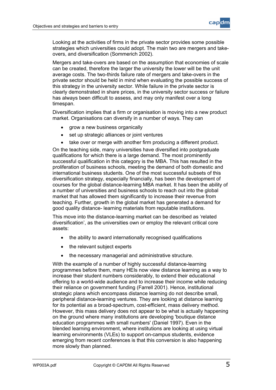

Looking at the activities of firms in the private sector provides some possible strategies which universities could adopt. The main two are mergers and takeovers, and diversification (Sommerich 2002).

Mergers and take-overs are based on the assumption that economies of scale can be created, therefore the larger the university the lower will be the unit average costs. The two-thirds failure rate of mergers and take-overs in the private sector should be held in mind when evaluating the possible success of this strategy in the university sector. While failure in the private sector is clearly demonstrated in share prices, in the university sector success or failure has always been difficult to assess, and may only manifest over a long timespan.

Diversification implies that a firm or organisation is moving into a new product market. Organisations can diversify in a number of ways. They can

- grow a new business organically
- set up strategic alliances or joint ventures
- take over or merge with another firm producing a different product.

On the teaching side, many universities have diversified into postgraduate qualifications for which there is a large demand. The most prominently successful qualification in this category is the MBA. This has resulted in the proliferation of business schools, meeting the demand of both domestic and international business students. One of the most successful subsets of this diversification strategy, especially financially, has been the development of courses for the global distance-learning MBA market. It has been the ability of a number of universities and business schools to reach out into the global market that has allowed them significantly to increase their revenue from teaching. Further, growth in the global market has generated a demand for good quality distance- learning materials from reputable institutions.

This move into the distance-learning market can be described as 'related diversification', as the universities own or employ the relevant critical core assets:

- the ability to award internationally recognised qualifications
- the relevant subject experts
- the necessary managerial and administrative structure.

With the example of a number of highly successful distance-learning programmes before them, many HEIs now view distance learning as a way to increase their student numbers considerably, to extend their educational offering to a world-wide audience and to increase their income while reducing their reliance on government funding (Farrell 2001). Hence, institutional strategic plans which encompass distance learning do not describe small, peripheral distance-learning ventures. They are looking at distance learning for its potential as a broad-spectrum, cost-efficient, mass delivery method. However, this mass delivery does not appear to be what is actually happening on the ground where many institutions are developing 'boutique distance education programmes with small numbers' (Daniel 1997). Even in the blended learning environment, where institutions are looking at using virtual learning environments (VLEs) to support on-campus students, evidence emerging from recent conferences is that this conversion is also happening more slowly than planned.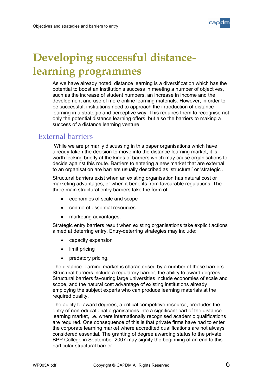

# <span id="page-6-0"></span>**Developing successful distancelearning programmes**

As we have already noted, distance learning is a diversification which has the potential to boost an institution's success in meeting a number of objectives, such as the increase of student numbers, an increase in income and the development and use of more online learning materials. However, in order to be successful, institutions need to approach the introduction of distance learning in a strategic and perceptive way. This requires them to recognise not only the potential distance learning offers, but also the barriers to making a success of a distance learning venture.

### External barriers

 While we are primarily discussing in this paper organisations which have already taken the decision to move into the distance-learning market, it is worth looking briefly at the kinds of barriers which may cause organisations to decide against this route. Barriers to entering a new market that are external to an organisation are barriers usually described as 'structural' or 'strategic'.

Structural barriers exist when an existing organisation has natural cost or marketing advantages, or when it benefits from favourable regulations. The three main structural entry barriers take the form of:

- economies of scale and scope
- control of essential resources
- marketing advantages.

Strategic entry barriers result when existing organisations take explicit actions aimed at deterring entry. Entry-deterring strategies may include:

- capacity expansion
- limit pricing
- predatory pricing.

The distance-learning market is characterised by a number of these barriers. Structural barriers include a regulatory barrier, the ability to award degrees. Structural barriers favouring large universities include economies of scale and scope, and the natural cost advantage of existing institutions already employing the subject experts who can produce learning materials at the required quality.

The ability to award degrees, a critical competitive resource, precludes the entry of non-educational organisations into a significant part of the distancelearning market, i.e. where internationally recognised academic qualifications are required. One consequence of this is that private firms have had to enter the corporate learning market where accredited qualifications are not always considered essential. The granting of degree awarding status to the private BPP College in September 2007 may signify the beginning of an end to this particular structural barrier.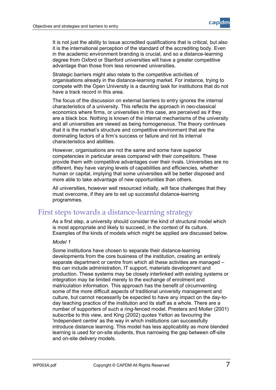

<span id="page-7-0"></span>It is not just the ability to issue accredited qualifications that is critical, but also it is the international perception of the standard of the accrediting body. Even in the academic environment branding is crucial, and so a distance-learning degree from Oxford or Stanford universities will have a greater competitive advantage than those from less renowned universities.

Strategic barriers might also relate to the competitive activities of organisations already in the distance-learning market. For instance, trying to compete with the Open University is a daunting task for institutions that do not have a track record in this area.

The focus of the discussion on external barriers to entry ignores the internal characteristics of a university. This reflects the approach in neo-classical economics where firms, or universities in this case, are perceived as if they are a black box. Nothing is known of the internal mechanisms of the university and all universities are viewed as being homogeneous. The theory continues that it is the market's structure and competitive environment that are the dominating factors of a firm's success or failure and not its internal characteristics and abilities.

However, organisations are not the same and some have superior competencies in particular areas compared with their competitors. These provide them with competitive advantages over their rivals. Universities are no different, they have varying levels of capabilities and efficiencies, whether human or capital, implying that some universities will be better disposed and more able to take advantage of new opportunities than others.

All universities, however well resourced initially, will face challenges that they must overcome, if they are to set up successful distance-learning programmes.

### First steps towards a distance-learning strategy

As a first step, a university should consider the kind of structural model which is most appropriate and likely to succeed, in the context of its culture. Examples of the kinds of models which might be applied are discussed below.

#### *Model 1*

Some institutions have chosen to separate their distance-learning developments from the core business of the institution, creating an entirely separate department or centre from which all these activities are managed – this can include administration, IT support, materials development and production. These systems may be closely interlinked with existing systems or integration may be limited merely to the exchange of enrolment and matriculation information. This approach has the benefit of circumventing some of the more difficult aspects of traditional university management and culture, but cannot necessarily be expected to have any impact on the day-today teaching practice of the institution and its staff as a whole. There are a number of supporters of such a ring-fenced model. Prestera and Moller (2001) subscribe to this view, and King (2002) quotes Yetton as favouring the 'independent centre' as the way in which institutions can successfully introduce distance learning. This model has less applicability as more blended learning is used for on-site students, thus narrowing the gap between off-site and on-site delivery models.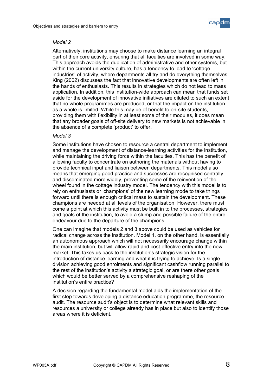

#### *Model 2*

Alternatively, institutions may choose to make distance learning an integral part of their core activity, ensuring that all faculties are involved in some way. This approach avoids the duplication of administrative and other systems, but within the current university culture, has a tendency to lead to 'cottage industries' of activity, where departments all try and do everything themselves. King (2002) discusses the fact that innovative developments are often left in the hands of enthusiasts. This results in strategies which do not lead to mass application. In addition, this institution-wide approach can mean that funds set aside for the development of innovative initiatives are diluted to such an extent that no whole programmes are produced, or that the impact on the institution as a whole is limited. While this may be of benefit to on-site students, providing them with flexibility in at least some of their modules, it does mean that any broader goals of off-site delivery to new markets is not achievable in the absence of a complete 'product' to offer.

#### *Model 3*

Some institutions have chosen to resource a central department to implement and manage the development of distance-learning activities for the institution, while maintaining the driving force within the faculties. This has the benefit of allowing faculty to concentrate on authoring the materials without having to provide technical input and liaison between departments. This model also means that emerging good practice and successes are recognised centrally and disseminated more widely, preventing some of the reinvention of the wheel found in the cottage industry model. The tendency with this model is to rely on enthusiasts or 'champions' of the new learning mode to take things forward until there is enough critical mass to sustain the development. These champions are needed at all levels of the organisation. However, there must come a point at which this activity must be built in to the processes, strategies and goals of the institution, to avoid a slump and possible failure of the entire endeavour due to the departure of the champions.

One can imagine that models 2 and 3 above could be used as vehicles for radical change across the institution. Model 1, on the other hand, is essentially an autonomous approach which will not necessarily encourage change within the main institution, but will allow rapid and cost-effective entry into the new market. This takes us back to the institution's strategic vision for the introduction of distance learning and what it is trying to achieve. Is a single division achieving good enrolments and significant cashflow running parallel to the rest of the institution's activity a strategic goal, or are there other goals which would be better served by a comprehensive reshaping of the institution's entire practice?

A decision regarding the fundamental model aids the implementation of the first step towards developing a distance education programme, the resource audit. The resource audit's object is to determine what relevant skills and resources a university or college already has in place but also to identify those areas where it is deficient.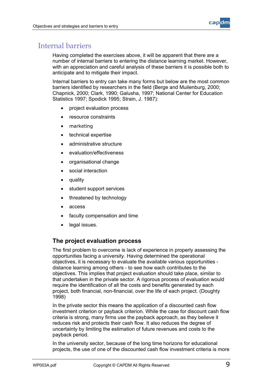

### <span id="page-9-0"></span>Internal barriers

Having completed the exercises above, it will be apparent that there are a number of internal barriers to entering the distance learning market. However, with an appreciation and careful analysis of these barriers it is possible both to anticipate and to mitigate their impact.

Internal barriers to entry can take many forms but below are the most common barriers identified by researchers in the field (Berge and Muilenburg, 2000; Chapnick, 2000; Clark, 1990; Galusha, 1997; National Center for Education Statistics 1997; Spodick 1995; Strain, J. 1987):

- project evaluation process
- resource constraints
- marketing
- technical expertise
- administrative structure
- evaluation/effectiveness
- organisational change
- social interaction
- quality
- student support services
- threatened by technology
- access
- faculty compensation and time
- legal issues.

#### **The project evaluation process**

The first problem to overcome is lack of experience in properly assessing the opportunities facing a university. Having determined the operational objectives, it is necessary to evaluate the available various opportunities distance learning among others - to see how each contributes to the objectives. This implies that project evaluation should take place, similar to that undertaken in the private sector. A rigorous process of evaluation would require the identification of all the costs and benefits generated by each project, both financial, non-financial, over the life of each project. (Doughty 1998)

In the private sector this means the application of a discounted cash flow investment criterion or payback criterion. While the case for discount cash flow criteria is strong, many firms use the payback approach, as they believe it reduces risk and protects their cash flow. It also reduces the degree of uncertainty by limiting the estimation of future revenues and costs to the payback period.

In the university sector, because of the long time horizons for educational projects, the use of one of the discounted cash flow investment criteria is more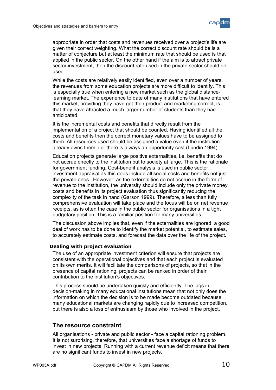

<span id="page-10-0"></span>appropriate in order that costs and revenues received over a project's life are given their correct weighting. What the correct discount rate should be is a matter of conjecture but at least the minimum rate that should be used is that applied in the public sector. On the other hand if the aim is to attract private sector investment, then the discount rate used in the private sector should be used.

While the costs are relatively easily identified, even over a number of years, the revenues from some education projects are more difficult to identify. This is especially true when entering a new market such as the global distancelearning market. The experience to date of many institutions that have entered this market, providing they have got their product and marketing correct, is that they have attracted a much larger number of students than they had anticipated.

It is the incremental costs and benefits that directly result from the implementation of a project that should be counted. Having identified all the costs and benefits then the correct monetary values have to be assigned to them. All resources used should be assigned a value even if the institution already owns them, i.e. there is always an opportunity cost (Lundin 1994).

Education projects generate large positive externalities, i.e. benefits that do not accrue directly to the institution but to society at large. This is the rationale for government funding. Cost-benefit analysis is used in public sector investment appraisal as this does include all social costs and benefits not just the private ones. However, as the externalities do not accrue in the form of revenue to the institution, the university should include only the private money costs and benefits in its project evaluation thus significantly reducing the complexity of the task in hand (Garson 1999). Therefore, a less than fully comprehensive evaluation will take place and the focus will be on net revenue receipts, as is often the case in the public sector for organisations in a tight budgetary position. This is a familiar position for many universities.

The discussion above implies that, even if the externalities are ignored, a good deal of work has to be done to identify the market potential, to estimate sales, to accurately estimate costs, and forecast the data over the life of the project.

#### **Dealing with project evaluation**

The use of an appropriate investment criterion will ensure that projects are consistent with the operational objectives and that each project is evaluated on its own merits. It will facilitate the comparisons of projects, so that in the presence of capital rationing, projects can be ranked in order of their contribution to the institution's objectives.

This process should be undertaken quickly and efficiently. The lags in decision-making in many educational institutions mean that not only does the information on which the decision is to be made become outdated because many educational markets are changing rapidly due to increased competition, but there is also a loss of enthusiasm by those who involved in the project.

#### **The resource constraint**

All organisations - private and public sector - face a capital rationing problem. It is not surprising, therefore, that universities face a shortage of funds to invest in new projects. Running with a current revenue deficit means that there are no significant funds to invest in new projects.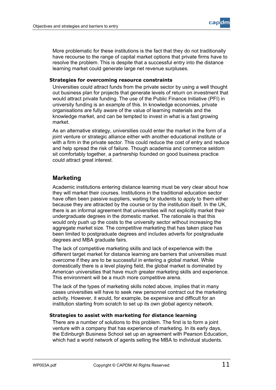

<span id="page-11-0"></span>More problematic for these institutions is the fact that they do not traditionally have recourse to the range of capital market options that private firms have to resolve the problem. This is despite that a successful entry into the distance learning market could generate large net revenue surpluses.

#### **Strategies for overcoming resource constraints**

Universities could attract funds from the private sector by using a well thought out business plan for projects that generate levels of return on investment that would attract private funding. The use of the Public Finance Initiative (PFI) in university funding is an example of this. In knowledge economies, private organisations are fully aware of the value of learning materials and the knowledge market, and can be tempted to invest in what is a fast growing market.

As an alternative strategy, universities could enter the market in the form of a joint venture or strategic alliance either with another educational institute or with a firm in the private sector. This could reduce the cost of entry and reduce and help spread the risk of failure. Though academia and commerce seldom sit comfortably together, a partnership founded on good business practice could attract great interest.

#### **Marketing**

Academic institutions entering distance learning must be very clear about how they will market their courses. Institutions in the traditional education sector have often been passive suppliers, waiting for students to apply to them either because they are attracted by the course or by the institution itself. In the UK, there is an informal agreement that universities will not explicitly market their undergraduate degrees in the domestic market. The rationale is that this would only push up the costs to the university sector without increasing the aggregate market size. The competitive marketing that has taken place has been limited to postgraduate degrees and includes adverts for postgraduate degrees and MBA graduate fairs.

The lack of competitive marketing skills and lack of experience with the different target market for distance learning are barriers that universities must overcome if they are to be successful in entering a global market. While domestically there is a level playing field, the global market is dominated by American universities that have much greater marketing skills and experience. This environment will be a much more competitive arena.

The lack of the types of marketing skills noted above, implies that in many cases universities will have to seek new personnel contract out the marketing activity. However, it would, for example, be expensive and difficult for an institution starting from scratch to set up its own global agency network.

#### **Strategies to assist with marketing for distance learning**

There are a number of solutions to this problem. The first is to form a joint venture with a company that has experience of marketing. In its early days, the Edinburgh Business School set up an agreement with Pearson Education, which had a world network of agents selling the MBA to individual students.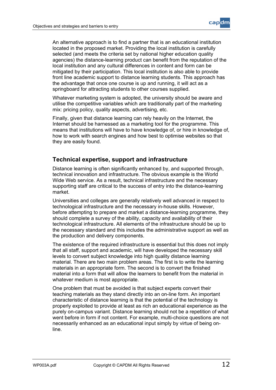

<span id="page-12-0"></span>An alternative approach is to find a partner that is an educational institution located in the proposed market. Providing the local institution is carefully selected (and meets the criteria set by national higher education quality agencies) the distance-learning product can benefit from the reputation of the local institution and any cultural differences in content and form can be mitigated by their participation. This local institution is also able to provide front line academic support to distance learning students. This approach has the advantage that once one course is up and running, it will act as a springboard for attracting students to other courses supplied.

Whatever marketing system is adopted, the university should be aware and utilise the competitive variables which are traditionally part of the marketing mix: pricing policy, quality aspects, advertising, etc.

Finally, given that distance learning can rely heavily on the Internet, the Internet should be harnessed as a marketing tool for the programme. This means that institutions will have to have knowledge of, or hire in knowledge of, how to work with search engines and how best to optimise websites so that they are easily found.

#### **Technical expertise, support and infrastructure**

Distance learning is often significantly enhanced by, and supported through, technical innovation and infrastructure. The obvious example is the World Wide Web service. As a result, technical infrastructure and the necessary supporting staff are critical to the success of entry into the distance-learning market.

Universities and colleges are generally relatively well advanced in respect to technological infrastructure and the necessary in-house skills. However, before attempting to prepare and market a distance-learning programme, they should complete a survey of the ability, capacity and availability of their technological infrastructure. All elements of the infrastructure should be up to the necessary standard and this includes the administrative support as well as the production and delivery components.

The existence of the required infrastructure is essential but this does not imply that all staff, support and academic, will have developed the necessary skill levels to convert subject knowledge into high quality distance learning material. There are two main problem areas. The first is to write the learning materials in an appropriate form. The second is to convert the finished material into a form that will allow the learners to benefit from the material in whatever medium is most appropriate.

One problem that must be avoided is that subject experts convert their teaching materials as they stand directly into an on-line form. An important characteristic of distance learning is that the potential of the technology is properly exploited to provide at least as rich an educational experience as the purely on-campus variant. Distance learning should not be a repetition of what went before in form if not content. For example, multi-choice questions are not necessarily enhanced as an educational input simply by virtue of being online.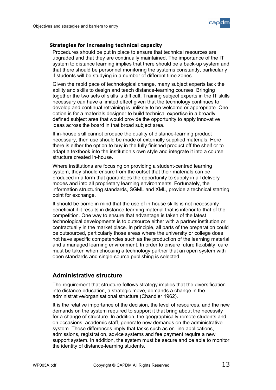

#### <span id="page-13-0"></span>**Strategies for increasing technical capacity**

Procedures should be put in place to ensure that technical resources are upgraded and that they are continually maintained. The importance of the IT system to distance learning implies that there should be a back-up system and that there should be personnel monitoring the systems constantly, particularly if students will be studying in a number of different time zones.

Given the rapid pace of technological change, many subject experts lack the ability and skills to design and teach distance-learning courses. Bringing together the two sets of skills is difficult. Training subject experts in the IT skills necessary can have a limited effect given that the technology continues to develop and continual retraining is unlikely to be welcome or appropriate. One option is for a materials designer to build technical expertise in a broadly defined subject area that would provide the opportunity to apply innovative ideas across the board in that broad subject area.

If in-house skill cannot produce the quality of distance-learning product necessary, then use should be made of externally supplied materials. Here there is either the option to buy in the fully finished product off the shelf or to adapt a textbook into the institution's own style and integrate it into a course structure created in-house.

Where institutions are focusing on providing a student-centred learning system, they should ensure from the outset that their materials can be produced in a form that guarantees the opportunity to supply in all delivery modes and into all proprietary learning environments. Fortunately, the information structuring standards, SGML and XML, provide a technical starting point for exchange.

It should be borne in mind that the use of in-house skills is not necessarily beneficial if it results in distance-learning material that is inferior to that of the competition. One way to ensure that advantage is taken of the latest technological developments is to outsource either with a partner institution or contractually in the market place. In principle, all parts of the preparation could be outsourced, particularly those areas where the university or college does not have specific competencies such as the production of the learning material and a managed learning environment. In order to ensure future flexibility, care must be taken when choosing a technology partner that an open system with open standards and single-source publishing is selected.

#### **Administrative structure**

The requirement that structure follows strategy implies that the diversification into distance education, a strategic move, demands a change in the administrative/organisational structure (Chandler 1962).

It is the relative importance of the decision, the level of resources, and the new demands on the system required to support it that bring about the necessity for a change of structure. In addition, the geographically remote students and, on occasions, academic staff, generate new demands on the administrative system. These differences imply that tasks such as on-line applications, admissions, registration, advice systems and fee payment require a new support system. In addition, the system must be secure and be able to monitor the identity of distance-learning students.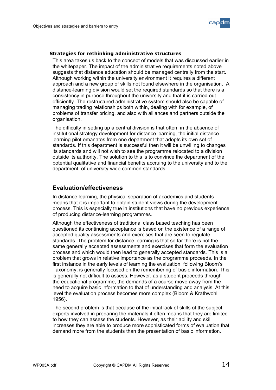

#### <span id="page-14-0"></span>**Strategies for rethinking administrative structures**

This area takes us back to the concept of models that was discussed earlier in the whitepaper. The impact of the administrative requirements noted above suggests that distance education should be managed centrally from the start. Although working within the university environment it requires a different approach and a new group of skills not found elsewhere in the organisation. A distance-learning division would set the required standards so that there is a consistency in purpose throughout the university and that it is carried out efficiently. The restructured administrative system should also be capable of managing trading relationships both within, dealing with for example, of problems of transfer pricing, and also with alliances and partners outside the organisation.

The difficulty in setting up a central division is that often, in the absence of institutional strategy development for distance learning, the initial distancelearning pilot emanates from one department that adopts its own set of standards. If this department is successful then it will be unwilling to changes its standards and will not wish to see the programme relocated to a division outside its authority. The solution to this is to convince the department of the potential qualitative and financial benefits accruing to the university and to the department, of university-wide common standards.

#### **Evaluation/effectiveness**

In distance learning, the physical separation of academics and students means that it is important to obtain student views during the development process. This is especially true in institutions that have no previous experience of producing distance-learning programmes.

Although the effectiveness of traditional class based teaching has been questioned its continuing acceptance is based on the existence of a range of accepted quality assessments and exercises that are seen to regulate standards. The problem for distance learning is that so far there is not the same generally accepted assessments and exercises that form the evaluation process and which would then lead to generally accepted standards. This is a problem that grows in relative importance as the programme proceeds. In the first instance in the early levels of learning the evaluation, following Bloom's Taxonomy, is generally focused on the remembering of basic information. This is generally not difficult to assess. However, as a student proceeds through the educational programme, the demands of a course move away from the need to acquire basic information to that of understanding and analysis. At this level the evaluation process becomes more complex (Bloom & Krathwohl 1956).

The second problem is that because of the initial lack of skills of the subject experts involved in preparing the materials it often means that they are limited to how they can assess the students. However, as their ability and skill increases they are able to produce more sophisticated forms of evaluation that demand more from the students than the presentation of basic information.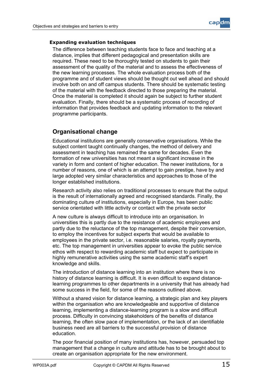

#### <span id="page-15-0"></span>**Expanding evaluation techniques**

The difference between teaching students face to face and teaching at a distance, implies that different pedagogical and presentation skills are required. These need to be thoroughly tested on students to gain their assessment of the quality of the material and to assess the effectiveness of the new learning processes. The whole evaluation process both of the programme and of student views should be thought out well ahead and should involve both on and off campus students. There should be systematic testing of the material with the feedback directed to those preparing the material. Once the material is completed it should again be subject to further student evaluation. Finally, there should be a systematic process of recording of information that provides feedback and updating information to the relevant programme participants.

#### **Organisational change**

Educational institutions are generally conservative organisations. While the subject content taught continually changes, the method of delivery and assessment in teaching has remained the same for decades. Even the formation of new universities has not meant a significant increase in the variety in form and content of higher education. The newer institutions, for a number of reasons, one of which is an attempt to gain prestige, have by and large adopted very similar characteristics and approaches to those of the longer established institutions.

Research activity also relies on traditional processes to ensure that the output is the result of internationally agreed and recognised standards. Finally, the dominating culture of institutions, especially in Europe, has been public service orientated with little activity or contact with the private sector

A new culture is always difficult to introduce into an organisation. In universities this is partly due to the resistance of academic employees and partly due to the reluctance of the top management, despite their conversion, to employ the incentives for subject experts that would be available to employees in the private sector, i.e. reasonable salaries, royalty payments, etc. The top management in universities appear to evoke the public service ethos with respect to rewarding academic staff but expect to participate in highly remunerative activities using the same academic staff's expert knowledge and skills.

The introduction of distance learning into an institution where there is no history of distance learning is difficult. It is even difficult to expand distancelearning programmes to other departments in a university that has already had some success in the field, for some of the reasons outlined above.

Without a shared vision for distance learning, a strategic plan and key players within the organisation who are knowledgeable and supportive of distance learning, implementing a distance-learning program is a slow and difficult process. Difficulty in convincing stakeholders of the benefits of distance learning, the often slow pace of implementation, or the lack of an identifiable business need are all barriers to the successful provision of distance education.

The poor financial position of many institutions has, however, persuaded top management that a change in culture and attitude has to be brought about to create an organisation appropriate for the new environment.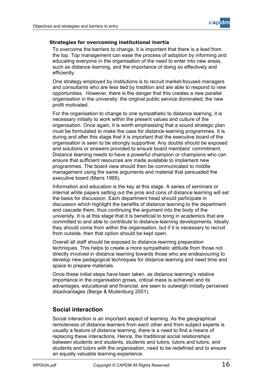

#### <span id="page-16-0"></span>**Strategies for overcoming institutional inertia**

To overcome the barriers to change, it is important that there is a lead from the top. Top management can ease the process of adoption by informing and educating everyone in the organisation of the need to enter into new areas, such as distance learning, and the importance of doing so effectively and efficiently.

One strategy employed by institutions is to recruit market-focused managers and consultants who are less tied by tradition and are able to respond to new opportunities. However, there is the danger that this creates a new parallel organisation in the university: the original public service dominated; the new profit motivated.

For the organisation to change to one sympathetic to distance learning, it is necessary initially to work within the present values and culture of the organisation. Once again, it is worth emphasising that a sound strategic plan must be formulated to make the case for distance-learning programmes. It is during and after this stage that it is important that the executive board of the organisation is seen to be strongly supportive. Any doubts should be exposed and solutions or answers provided to ensure board members' commitment. Distance learning needs to have a powerful champion or champions who can ensure that sufficient resources are made available to implement new programmes. The board view should then be communicated to middle management using the same arguments and material that persuaded the executive board (Marrs 1995).

Information and education is the key at this stage. A series of seminars or internal white papers setting out the pros and cons of distance learning will set the basis for discussion. Each department head should participate in discussion which highlight the benefits of distance learning to the department and cascade them, thus continuing the argument into the body of the university. It is at this stage that it is beneficial to bring in academics that are committed to and able to contribute to distance-learning developments. Ideally they should come from within the organisation, but if it is necessary to recruit from outside, then that option should be kept open.

Overall all staff should be exposed to distance-learning preparation techniques. This helps to create a more sympathetic attitude from those not directly involved in distance learning towards those who are endeavouring to develop new pedagogical techniques for distance learning and need time and space to prepare materials.

Once these initial steps have been taken, as distance learning's relative importance in the organisation grows, critical mass is achieved and its advantages, educational and financial, are seen to outweigh initially perceived disadvantages (Berge & Muilenburg 2001).

#### **Social interaction**

Social interaction is an important aspect of learning. As the geographical remoteness of distance learners from each other and from subject experts is usually a feature of distance learning, there is a need to find a means of replacing these interactions. Hence, the traditional social relationships between students and students, students and tutors, tutors and tutors, and students and tutors with the organisation, need to be redefined and to ensure an equally valuable learning experience.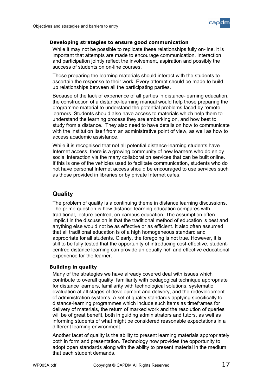

#### <span id="page-17-0"></span>**Developing strategies to ensure good communication**

While it may not be possible to replicate these relationships fully on-line, it is important that attempts are made to encourage communication. Interaction and participation jointly reflect the involvement, aspiration and possibly the success of students on on-line courses.

Those preparing the learning materials should interact with the students to ascertain the response to their work. Every attempt should be made to build up relationships between all the participating parties.

Because of the lack of experience of all parties in distance-learning education, the construction of a distance-learning manual would help those preparing the programme material to understand the potential problems faced by remote learners. Students should also have access to materials which help them to understand the learning process they are embarking on, and how best to study from a distance. They also need to have details on how to communicate with the institution itself from an administrative point of view, as well as how to access academic assistance.

While it is recognised that not all potential distance-learning students have Internet access, there is a growing community of new learners who do enjoy social interaction via the many collaboration services that can be built online. If this is one of the vehicles used to facilitate communication, students who do not have personal Internet access should be encouraged to use services such as those provided in libraries or by private Internet cafes.

#### **Quality**

The problem of quality is a continuing theme in distance learning discussions. The prime question is how distance-learning education compares with traditional, lecture-centred, on-campus education. The assumption often implicit in the discussion is that the traditional method of education is best and anything else would not be as effective or as efficient. It also often assumed that all traditional education is of a high homogeneous standard and appropriate for all students. Clearly, the foregoing is not true. However, it is still to be fully tested that the opportunity of introducing cost-effective, studentcentred distance learning can provide an equally rich and effective educational experience for the learner.

#### **Building in quality**

Many of the strategies we have already covered deal with issues which contribute to overall quality: familiarity with pedagogical technique appropriate for distance learners, familiarity with technological solutions, systematic evaluation at all stages of development and delivery, and the redevelopment of administration systems. A set of quality standards applying specifically to distance-learning programmes which include such items as timeframes for delivery of materials, the return of marked work and the resolution of queries will be of great benefit, both in guiding administrators and tutors, as well as informing students of what might be considered reasonable expectations in a different learning environment.

Another facet of quality is the ability to present learning materials appropriately both in form and presentation. Technology now provides the opportunity to adopt open standards along with the ability to present material in the medium that each student demands.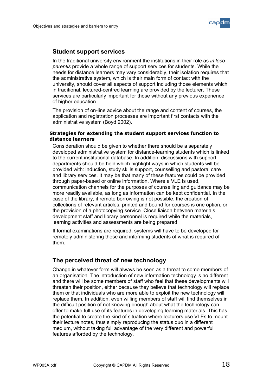

#### <span id="page-18-0"></span>**Student support services**

In the traditional university environment the institutions in their role as *in loco parentis* provide a whole range of support services for students. While the needs for distance learners may vary considerably, their isolation requires that the administrative system, which is their main form of contact with the university, should cover all aspects of support including those elements which in traditional, lectured-centred learning are provided by the lecturer. These services are particularly important for those without any previous experience of higher education.

The provision of on-line advice about the range and content of courses, the application and registration processes are important first contacts with the administrative system (Boyd 2002).

#### **Strategies for extending the student support services function to distance learners**

Consideration should be given to whether there should be a separately developed administrative system for distance-learning students which is linked to the current institutional database. In addition, discussions with support departments should be held which highlight ways in which students will be provided with: induction, study skills support, counselling and pastoral care and library services. It may be that many of these features could be provided through paper-based or online information. Where a VLE is used, communication channels for the purposes of counselling and guidance may be more readily available, as long as information can be kept confidential. In the case of the library, if remote borrowing is not possible, the creation of collections of relevant articles, printed and bound for courses is one option, or the provision of a photocopying service. Close liaison between materials development staff and library personnel is required while the materials, learning activities and assessments are being prepared.

If formal examinations are required, systems will have to be developed for remotely administering these and informing students of what is required of them.

#### **The perceived threat of new technology**

Change in whatever form will always be seen as a threat to some members of an organisation. The introduction of new information technology is no different and there will be some members of staff who feel that these developments will threaten their position, either because they believe that technology will replace them or that individuals who are more able to exploit the new technology will replace them. In addition, even willing members of staff will find themselves in the difficult position of not knowing enough about what the technology can offer to make full use of its features in developing learning materials. This has the potential to create the kind of situation where lecturers use VLEs to mount their lecture notes, thus simply reproducing the status quo in a different medium, without taking full advantage of the very different and powerful features afforded by the technology.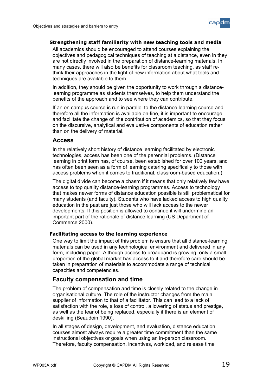

#### <span id="page-19-0"></span>**Strengthening staff familiarity with new teaching tools and media**

All academics should be encouraged to attend courses explaining the objectives and pedagogical techniques of teaching at a distance, even in they are not directly involved in the preparation of distance-learning materials. In many cases, there will also be benefits for classroom teaching, as staff rethink their approaches in the light of new information about what tools and techniques are available to them.

In addition, they should be given the opportunity to work through a distancelearning programme as students themselves, to help them understand the benefits of the approach and to see where they can contribute.

If an on campus course is run in parallel to the distance learning course and therefore all the information is available on-line, it is important to encourage and facilitate the change of the contribution of academics, so that they focus on the discursive, analytical and evaluative components of education rather than on the delivery of material.

#### **Access**

In the relatively short history of distance learning facilitated by electronic technologies, access has been one of the perennial problems. (Distance learning in print form has, of course, been established for over 100 years, and has often been seen as a form of learning catering specifically to those with access problems when it comes to traditional, classroom-based education.)

The digital divide can become a chasm if it means that only relatively few have access to top quality distance-learning programmes. Access to technology that makes newer forms of distance education possible is still problematical for many students (and faculty). Students who have lacked access to high quality education in the past are just those who will lack access to the newer developments. If this position is allowed to continue it will undermine an important part of the rationale of distance learning (US Department of Commerce 2000).

#### **Facilitating access to the learning experience**

One way to limit the impact of this problem is ensure that all distance-learning materials can be used in any technological environment and delivered in any form, including paper. Although access to broadband is growing, only a small proportion of the global market has access to it and therefore care should be taken in preparation of materials to accommodate a range of technical capacities and competencies.

#### **Faculty compensation and time**

The problem of compensation and time is closely related to the change in organisational culture. The role of the instructor changes from the main supplier of information to that of a facilitator. This can lead to a lack of satisfaction with the role, a loss of control, a lowering of status and prestige, as well as the fear of being replaced, especially if there is an element of deskilling (Beaudoin 1990).

In all stages of design, development, and evaluation, distance education courses almost always require a greater time commitment than the same instructional objectives or goals when using an in-person classroom. Therefore, faculty compensation, incentives, workload, and release time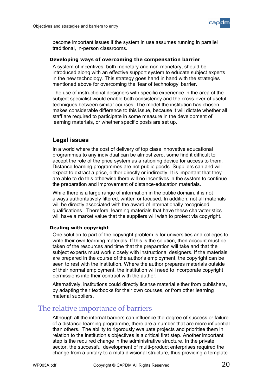

<span id="page-20-0"></span>become important issues if the system in use assumes running in parallel traditional, in-person classrooms.

#### **Developing ways of overcoming the compensation barrier**

A system of incentives, both monetary and non-monetary, should be introduced along with an effective support system to educate subject experts in the new technology. This strategy goes hand in hand with the strategies mentioned above for overcoming the 'fear of technology' barrier.

The use of instructional designers with specific experience in the area of the subject specialist would enable both consistency and the cross-over of useful techniques between similar courses. The model the institution has chosen makes considerable difference to this issue, because it will dictate whether all staff are required to participate in some measure in the development of learning materials, or whether specific posts are set up.

#### **Legal issues**

In a world where the cost of delivery of top class innovative educational programmes to any individual can be almost zero, some find it difficult to accept the role of the price system as a rationing device for access to them. Distance-learning programmes are not public goods. Suppliers can and will expect to extract a price, either directly or indirectly. It is important that they are able to do this otherwise there will no incentives in the system to continue the preparation and improvement of distance-education materials.

While there is a large range of information in the public domain, it is not always authoritatively filtered, written or focused. In addition, not all materials will be directly associated with the award of internationally recognised qualifications. Therefore, learning materials that have these characteristics will have a market value that the suppliers will wish to protect via copyright.

#### **Dealing with copyright**

One solution to part of the copyright problem is for universities and colleges to write their own learning materials. If this is the solution, then account must be taken of the resources and time that the preparation will take and that the subject experts must work closely with instructional designers. If the materials are prepared in the course of the author's employment, the copyright can be seen to rest with the institution. Where the author prepares materials outside of their normal employment, the institution will need to incorporate copyright permissions into their contract with the author.

Alternatively, institutions could directly license material either from publishers, by adapting their textbooks for their own courses, or from other learning material suppliers.

### The relative importance of barriers

Although all the internal barriers can influence the degree of success or failure of a distance-learning programme, there are a number that are more influential than others. The ability to rigorously evaluate projects and prioritise them in relation to the institution's objectives is a critical first step. Another important step is the required change in the administrative structure. In the private sector, the successful development of multi-product enterprises required the change from a unitary to a multi-divisional structure, thus providing a template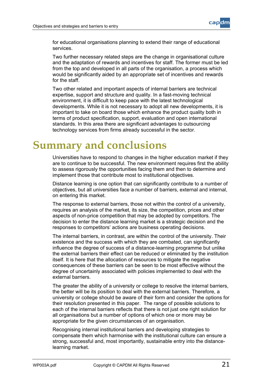

<span id="page-21-0"></span>for educational organisations planning to extend their range of educational services.

Two further necessary related steps are the change in organisational culture and the adaptation of rewards and incentives for staff. The former must be led from the top and developed in all parts of the organisation, a process which would be significantly aided by an appropriate set of incentives and rewards for the staff.

Two other related and important aspects of internal barriers are technical expertise, support and structure and quality. In a fast-moving technical environment, it is difficult to keep pace with the latest technological developments. While it is not necessary to adopt all new developments, it is important to take on board those which enhance the product quality both in terms of product specification, support, evaluation and open international standards. In this area there are significant advantages to outsourcing technology services from firms already successful in the sector.

## **Summary and conclusions**

Universities have to respond to changes in the higher education market if they are to continue to be successful. The new environment requires first the ability to assess rigorously the opportunities facing them and then to determine and implement those that contribute most to institutional objectives.

Distance learning is one option that can significantly contribute to a number of objectives, but all universities face a number of barriers, external and internal, on entering this market.

The response to external barriers, those not within the control of a university, requires an analysis of the market, its size, the competition, prices and other aspects of non-price competition that may be adopted by competitors. The decision to enter the distance learning market is a strategic decision and the responses to competitors' actions are business operating decisions.

The internal barriers, in contrast, are within the control of the university. Their existence and the success with which they are combated, can significantly influence the degree of success of a distance-learning programme but unlike the external barriers their effect can be reduced or eliminated by the institution itself. It is here that the allocation of resources to mitigate the negative consequences of these barriers can be seen to be most effective without the degree of uncertainly associated with policies implemented to deal with the external barriers.

The greater the ability of a university or college to resolve the internal barriers, the better will be its position to deal with the external barriers. Therefore, a university or college should be aware of their form and consider the options for their resolution presented in this paper. The range of possible solutions to each of the internal barriers reflects that there is not just one right solution for all organisations but a number of options of which one or more may be appropriate for the given circumstances of an organisation.

Recognising internal institutional barriers and developing strategies to compensate them which harmonise with the institutional culture can ensure a strong, successful and, most importantly, sustainable entry into the distancelearning market.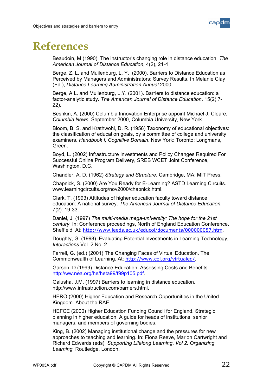

### <span id="page-22-0"></span>**References**

Beaudoin, M (1990). The instructor's changing role in distance education. *The American Journal of Distance Education*, 4(2), 21-4

Berge, Z. L. and Muilenburg, L. Y. (2000). Barriers to Distance Education as Perceived by Managers and Administrators: Survey Results. In Melanie Clay (Ed.), *Distance Learning Administration Annual* 2000.

Berge, A.L. and Muilenburg, L.Y. (2001). Barriers to distance education: a factor-analytic study. *The American Journal of Distance Education*. 15(2) 7- 22).

Beshkin, A. (2000) Columbia Innovation Enterprise appoint Michael J. Cleare, *Columbia News*, September 2000, Columbia University, New York.

Bloom, B. S. and Krathwohl, D. R. (1956) Taxonomy of educational objectives: the classification of education goals, by a committee of college and university examiners. *Handbook I, Cognitive Domain*. New York: Toronto: Longmans, Green.

Boyd, L. (2002) Infrastructure Investments and Policy Changes Required For Successful Online Program Delivery, SREB WCET Joint Conference, Washington, D.C.

Chandler, A. D. (1962) *Strategy and Structure*, Cambridge, MA: MIT Press.

Chapnick, S. (2000) Are You Ready for E-Learning? ASTD Learning Circuits. www.learningcircuits.org/nov2000/chapnick.html.

Clark, T. (1993) Attitudes of higher education faculty toward distance education: A national survey. *The American Journal of Distance Education*. 7(2): 19-33.

Daniel, J. (1997) *The multi-media mega-university: The hope for the 21st century*. In: Conference proceedings, North of England Education Conference. Sheffield. At: <http://www.leeds.ac.uk/educol/documents/000000087.htm>.

Doughty, G. (1998) Evaluating Potential Investments in Learning Technology, *Interactions* Vol. 2 No. 2.

Farrell, G. (ed.) (2001) The Changing Faces of Virtual Education. The Commonwealth of Learning. At: <http://www.col.org/virtualed/>.

Garson, D (1999) Distance Education: Assessing Costs and Benefits. <http://ww.nea.org/he/heta99/f99p105.pdf>.

Galusha, J.M. (1997) Barriers to learning in distance education. http://www.infrastruction.com/barriers.html.

HERO (2000) Higher Education and Research Opportunities in the United Kingdom. About the RAE.

HEFCE (2000) Higher Education Funding Council for England. Strategic planning in higher education. A guide for heads of institutions, senior managers, and members of governing bodies.

King, B. (2002) Managing institutional change and the pressures for new approaches to teaching and learning. In: Fiona Reeve, Marion Cartwright and Richard Edwards (eds). *Supporting Lifelong Learning*. *Vol 2. Organizing Learning*, Routledge, London.